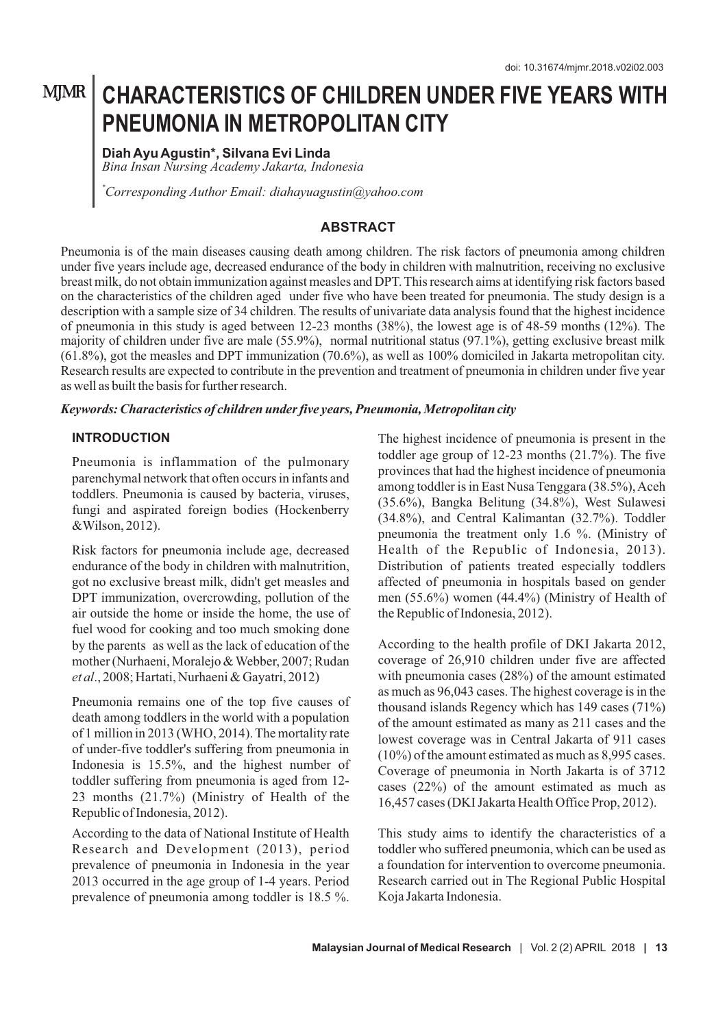## **MJMR**

# **CHARACTERISTICS OF CHILDREN UNDER FIVE YEARS WITH PNEUMONIA IN METROPOLITAN CITY**

**Diah Ayu Agustin\*, Silvana Evi Linda** *Bina Insan Nursing Academy Jakarta, Indonesia*

*\*Corresponding Author Email: diahayuagustin@yahoo.com*

#### **ABSTRACT**

Pneumonia is of the main diseases causing death among children. The risk factors of pneumonia among children under five years include age, decreased endurance of the body in children with malnutrition, receiving no exclusive breast milk, do not obtain immunization against measles and DPT. This research aims at identifying risk factors based on the characteristics of the children aged under five who have been treated for pneumonia. The study design is a description with a sample size of 34 children. The results of univariate data analysis found that the highest incidence of pneumonia in this study is aged between 12-23 months (38%), the lowest age is of 48-59 months (12%). The majority of children under five are male (55.9%), normal nutritional status (97.1%), getting exclusive breast milk (61.8%), got the measles and DPT immunization (70.6%), as well as 100% domiciled in Jakarta metropolitan city. Research results are expected to contribute in the prevention and treatment of pneumonia in children under five year as well as built the basis for further research.

#### *Keywords: Characteristics of children under five years, Pneumonia, Metropolitan city*

#### **INTRODUCTION**

Pneumonia is inflammation of the pulmonary parenchymal network that often occurs in infants and toddlers. Pneumonia is caused by bacteria, viruses, fungi and aspirated foreign bodies (Hockenberry &Wilson, 2012).

Risk factors for pneumonia include age, decreased endurance of the body in children with malnutrition, got no exclusive breast milk, didn't get measles and DPT immunization, overcrowding, pollution of the air outside the home or inside the home, the use of fuel wood for cooking and too much smoking done by the parents as well as the lack of education of the mother (Nurhaeni, Moralejo & Webber, 2007; Rudan *et al*., 2008; Hartati, Nurhaeni & Gayatri, 2012)

Pneumonia remains one of the top five causes of death among toddlers in the world with a population of 1 million in 2013 (WHO, 2014). The mortality rate of under-five toddler's suffering from pneumonia in Indonesia is 15.5%, and the highest number of toddler suffering from pneumonia is aged from 12- 23 months (21.7%) (Ministry of Health of the Republic of Indonesia, 2012).

According to the data of National Institute of Health Research and Development (2013), period prevalence of pneumonia in Indonesia in the year 2013 occurred in the age group of 1-4 years. Period prevalence of pneumonia among toddler is 18.5 %.

The highest incidence of pneumonia is present in the toddler age group of 12-23 months (21.7%). The five provinces that had the highest incidence of pneumonia among toddler is in East Nusa Tenggara (38.5%), Aceh (35.6%), Bangka Belitung (34.8%), West Sulawesi (34.8%), and Central Kalimantan (32.7%). Toddler pneumonia the treatment only 1.6 %. (Ministry of Health of the Republic of Indonesia, 2013). Distribution of patients treated especially toddlers affected of pneumonia in hospitals based on gender men (55.6%) women (44.4%) (Ministry of Health of the Republic of Indonesia, 2012).

According to the health profile of DKI Jakarta 2012, coverage of 26,910 children under five are affected with pneumonia cases (28%) of the amount estimated as much as 96,043 cases. The highest coverage is in the thousand islands Regency which has 149 cases (71%) of the amount estimated as many as 211 cases and the lowest coverage was in Central Jakarta of 911 cases (10%) of the amount estimated as much as 8,995 cases. Coverage of pneumonia in North Jakarta is of 3712 cases (22%) of the amount estimated as much as 16,457 cases (DKI Jakarta Health Office Prop, 2012).

This study aims to identify the characteristics of a toddler who suffered pneumonia, which can be used as a foundation for intervention to overcome pneumonia. Research carried out in The Regional Public Hospital Koja Jakarta Indonesia.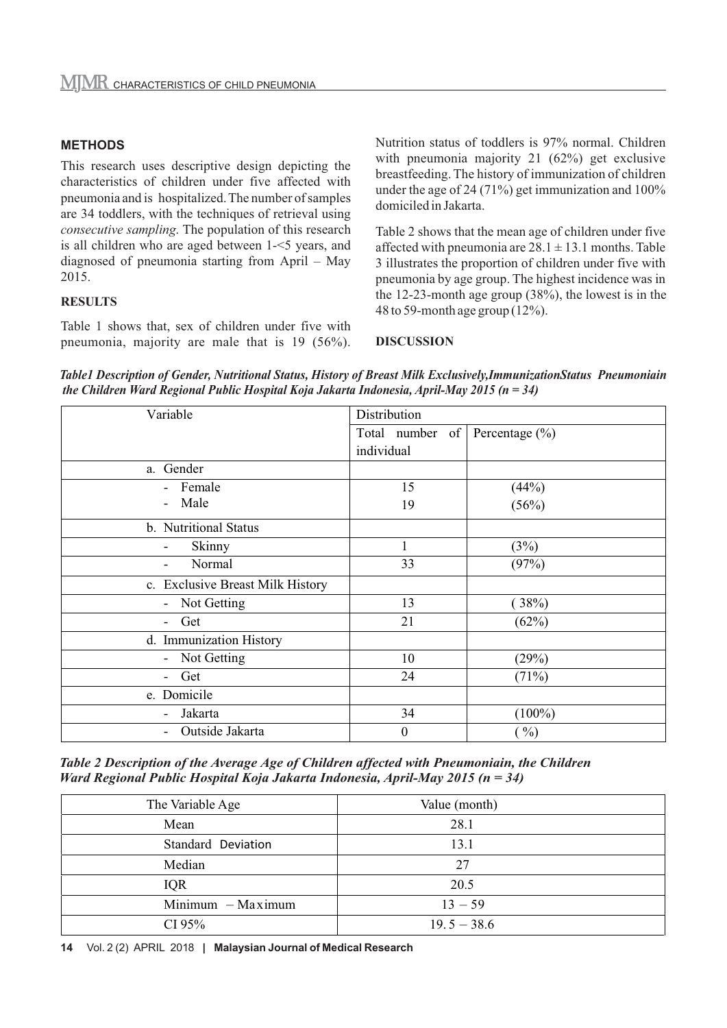#### **METHODS**

This research uses descriptive design depicting the characteristics of children under five affected with pneumonia and is hospitalized. The number of samples are 34 toddlers, with the techniques of retrieval using *consecutive sampling*. The population of this research is all children who are aged between 1-<5 years, and diagnosed of pneumonia starting from April – May 2015.

#### **RESULTS**

Table 1 shows that, sex of children under five with pneumonia, majority are male that is 19 (56%). Nutrition status of toddlers is 97% normal. Children with pneumonia majority 21 (62%) get exclusive breastfeeding. The history of immunization of children under the age of 24 (71%) get immunization and  $100\%$ domiciled in Jakarta.

Table 2 shows that the mean age of children under five affected with pneumonia are  $28.1 \pm 13.1$  months. Table 3 illustrates the proportion of children under five with pneumonia by age group. The highest incidence was in the 12-23-month age group (38%), the lowest is in the 48 to 59-month age group (12%).

#### **DISCUSSION**

*Table1 Description of Gender, Nutritional Status, History of Breast Milk Exclusively,ImmunizationStatus Pneumoniain the Children Ward Regional Public Hospital Koja Jakarta Indonesia, April-May 2015 (n = 34)*

| Variable                                | Distribution     |                    |
|-----------------------------------------|------------------|--------------------|
|                                         | Total number of  | Percentage $(\% )$ |
|                                         | individual       |                    |
| Gender<br>a.                            |                  |                    |
| Female<br>$\sim$                        | 15               | (44%)              |
| Male                                    | 19               | (56%)              |
| b. Nutritional Status                   |                  |                    |
| Skinny<br>-                             | $\mathbf{1}$     | (3%)               |
| Normal<br>$\overline{\phantom{0}}$      | 33               | (97%)              |
| c. Exclusive Breast Milk History        |                  |                    |
| Not Getting<br>$\sim$                   | 13               | $38\%)$            |
| Get<br>$\blacksquare$                   | 21               | (62%)              |
| d. Immunization History                 |                  |                    |
| Not Getting<br>$\overline{\phantom{a}}$ | 10               | (29%)              |
| Get                                     | 24               | (71%)              |
| e. Domicile                             |                  |                    |
| Jakarta<br>$\overline{\phantom{0}}$     | 34               | $(100\%)$          |
| Outside Jakarta                         | $\boldsymbol{0}$ | $( \frac{0}{0} )$  |

*Table 2 Description of the Average Age of Children affected with Pneumoniain, the Children Ward Regional Public Hospital Koja Jakarta Indonesia, April-May 2015 (n = 34)*

| The Variable Age    | Value (month) |  |
|---------------------|---------------|--|
| Mean                | 28.1          |  |
| Standard Deviation  | 13.1          |  |
| Median              | 27            |  |
| <b>IQR</b>          | 20.5          |  |
| $Minimum - Maximum$ | $13 - 59$     |  |
| CI 95%              | $19.5 - 38.6$ |  |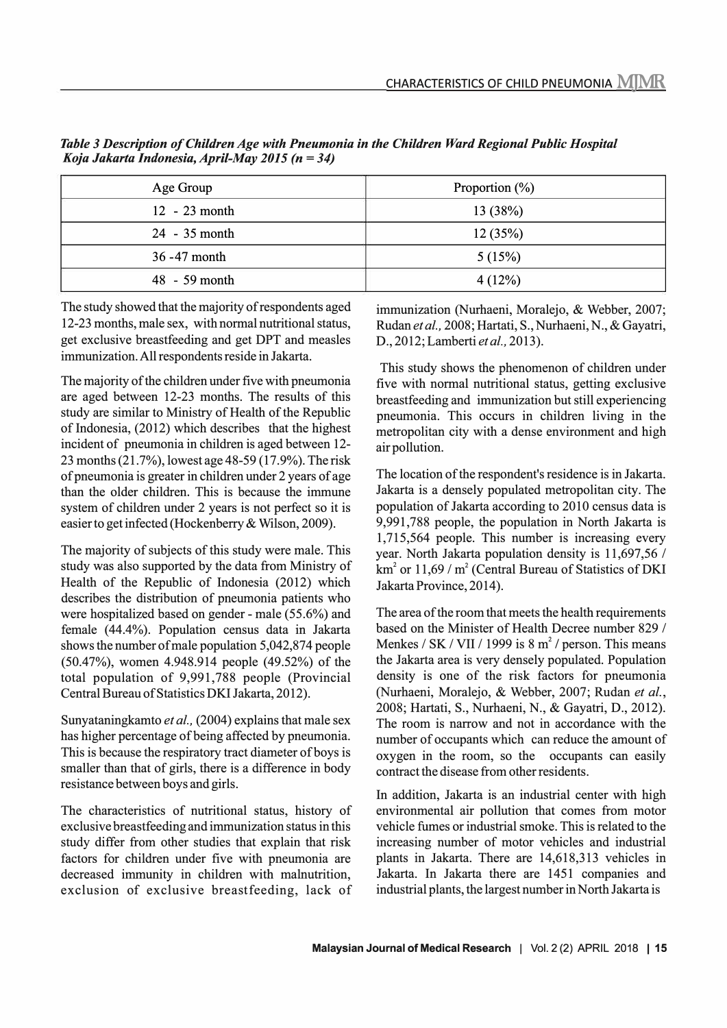| Age Group       | Proportion $(\%)$ |
|-----------------|-------------------|
| $12 - 23$ month | 13(38%)           |
| 24 - 35 month   | 12(35%)           |
| $36 - 47$ month | 5(15%)            |
| $48 - 59$ month | 4(12%)            |

*Table 3 Description of Children Age with Pneumonia in the Children Ward Regional Public Hospital Koja Jakarta Indonesia, April-May 2015 (n* **=** *34)*

The study showed that the majority of respondents aged 12-23 months, male sex, with normal nutritional status, get exclusive breastfeeding and get DPT and measles immunization. All respondents reside in Jakarta.

The majority of the children under five with pneumonia are aged between 12-23 months. The results of this study are similar to Ministry of Health of the Republic of Indonesia,  $(2012)$  which describes that the highest incident of pneumonia in children is aged between 12- 23 months (21.7%), lowest age 48-59 (17.9%). The risk of pneumonia is greater in children under 2 years of age than the older children. This is because the immune system of children under 2 years is not perfect so it is easier to get infected (Hockenberry & Wilson, 2009).

The majority of subjects of this study were male. This study was also supported by the data from Ministry of Health of the Republic of Indonesia (2012) which describes the distribution of pneumonia patients who were hospitalized based on gender - male (55.6%) and female (44.4%). Population census data in Jakarta shows the number of male population 5,042,874 people (50.47%), women 4.948.914 people (49.52%) of the total population of 9,991,788 people (Provincial Central Bureau of Statistics DKI Jakarta, 2012).

Sunyataningkamto *et al.,* (2004) explains that male sex has higher percentage of being affected by pneumonia. This is because the respiratory tract diameter of boys is smaller than that of girls, there is a difference in body resistance between boys and girls.

The characteristics of nutritional status, history of exclusive breastfeeding and immunization status in this study differ from other studies that explain that risk factors for children under five with pneumonia are decreased immunity in children with malnutrition, exclusion of exclusive breastfeeding, lack of immunization (Nurhaeni, Moralejo, & Webber, 2007; Rudan *et al.,* 2008; Hartati, S., Nurhaeni, N., & Gayatri, D., 2012; Lamberti *et al.,* 2013).

This study shows the phenomenon of children under five with normal nutritional status, getting exclusive breastfeeding and immunization but still experiencing pneumonia. This occurs in children living in the metropolitan city with a dense environment and high air pollution.

The location of the respondent's residence is in Jakarta. Jakarta is a densely populated metropolitan city. The population of Jakarta according to 2010 census data is 9,991,788 people, the population in North Jakarta is 1,715,564 people. This number is increasing every year. North Jakarta population density is 11,697,56 / km<sup>2</sup> or 11,69 / m<sup>2</sup> (Central Bureau of Statistics of DKI) Jakarta Province, 2014).

The area of the room that meets the health requirements based on the Minister of Health Decree number 829 / Menkes *I* SK / VII / 1999 is 8 m**<sup>2</sup>/** person. This means the Jakarta area is very densely populated. Population density is one of the risk factors for pneumonia (Nurhaeni, Moralejo, & Webber, 2007; Rudan *et al.,* 2008; Hartati, S., Nurhaeni, N., & Gayatri, D., 2012). The room is narrow and not in accordance with the number of occupants which can reduce the amount of oxygen in the room, so the occupants can easily contract the disease from other residents.

In addition, Jakarta is an industrial center with high environmental air pollution that comes from motor vehicle fumes or industrial smoke. This is related to the increasing number of motor vehicles and industrial plants in Jakarta. There are 14,618,313 vehicles in Jakarta. In Jakarta there are 1451 companies and industrial plants, the largest number in North Jakarta is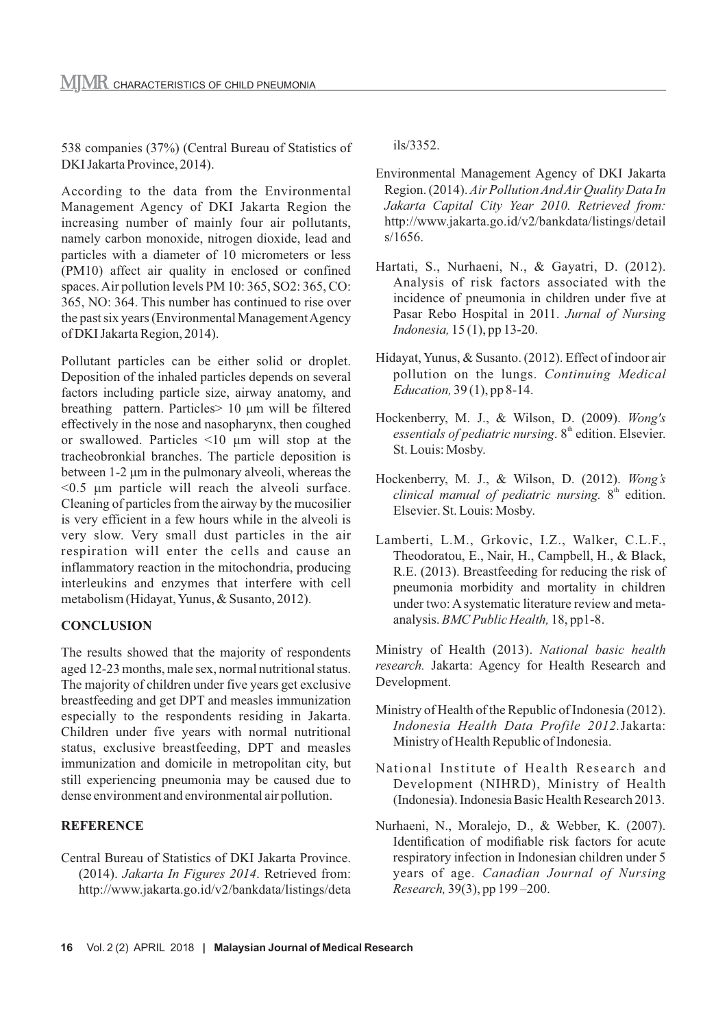538 companies (37%) (Central Bureau of Statistics of DKI Jakarta Province, 2014).

According to the data from the Environmental Management Agency of DKI Jakarta Region the increasing number of mainly four air pollutants, namely carbon monoxide, nitrogen dioxide, lead and particles with a diameter of 10 micrometers or less (PM10) affect air quality in enclosed or confined spaces. Air pollution levels PM 10: 365, SO2: 365, CO: 365, NO: 364. This number has continued to rise over the past six years (Environmental Management Agency of DKI Jakarta Region, 2014).

Pollutant particles can be either solid or droplet. Deposition of the inhaled particles depends on several factors including particle size, airway anatomy, and breathing pattern. Particles> 10 μm will be filtered effectively in the nose and nasopharynx, then coughed or swallowed. Particles <10 μm will stop at the tracheobronkial branches. The particle deposition is between 1-2 μm in the pulmonary alveoli, whereas the <0.5 μm particle will reach the alveoli surface. Cleaning of particles from the airway by the mucosilier is very efficient in a few hours while in the alveoli is very slow. Very small dust particles in the air respiration will enter the cells and cause an inflammatory reaction in the mitochondria, producing interleukins and enzymes that interfere with cell metabolism (Hidayat, Yunus, & Susanto, 2012).

### **CONCLUSION**

The results showed that the majority of respondents aged 12-23 months, male sex, normal nutritional status. The majority of children under five years get exclusive breastfeeding and get DPT and measles immunization especially to the respondents residing in Jakarta. Children under five years with normal nutritional status, exclusive breastfeeding, DPT and measles immunization and domicile in metropolitan city, but still experiencing pneumonia may be caused due to dense environment and environmental air pollution.

### **REFERENCE**

Central Bureau of Statistics of DKI Jakarta Province. (2014). *Jakarta In Figures 2014*. Retrieved from: http://www.jakarta.go.id/v2/bankdata/listings/deta ils/3352.

- Environmental Management Agency of DKI Jakarta Region. (2014). *Air Pollution And Air Quality Data In Jakarta Capital City Year 2010. Retrieved from:* http://www.jakarta.go.id/v2/bankdata/listings/detail s/1656.
- Hartati, S., Nurhaeni, N., & Gayatri, D. (2012). Analysis of risk factors associated with the incidence of pneumonia in children under five at Pasar Rebo Hospital in 2011. *Jurnal of Nursing Indonesia,* 15 (1), pp 13-20.
- Hidayat, Yunus, & Susanto. (2012). Effect of indoor air pollution on the lungs. *Continuing Medical Education,* 39 (1), pp 8-14.
- Hockenberry, M. J., & Wilson, D. (2009). *Wong's*  essentials of pediatric nursing. 8<sup>th</sup> edition. Elsevier. St. Louis: Mosby.
- Hockenberry, M. J., & Wilson, D. (2012). *Wong's clinical manual of pediatric nursing.* 8<sup>th</sup> edition. Elsevier. St. Louis: Mosby.
- Lamberti, L.M., Grkovic, I.Z., Walker, C.L.F., Theodoratou, E., Nair, H., Campbell, H., & Black, R.E. (2013). Breastfeeding for reducing the risk of pneumonia morbidity and mortality in children under two: A systematic literature review and metaanalysis. *BMC Public Health,* 18, pp1-8.

Ministry of Health (2013). *National basic health research.* Jakarta: Agency for Health Research and Development.

- Ministry of Health of the Republic of Indonesia (2012). *Indonesia Health Data Profile 2012.*Jakarta: Ministry of Health Republic of Indonesia.
- National Institute of Health Research and Development (NIHRD), Ministry of Health (Indonesia). Indonesia Basic Health Research 2013.
- Nurhaeni, N., Moralejo, D., & Webber, K. (2007). Identification of modifiable risk factors for acute respiratory infection in Indonesian children under 5 years of age. *Canadian Journal of Nursing Research,* 39(3), pp 199 –200.